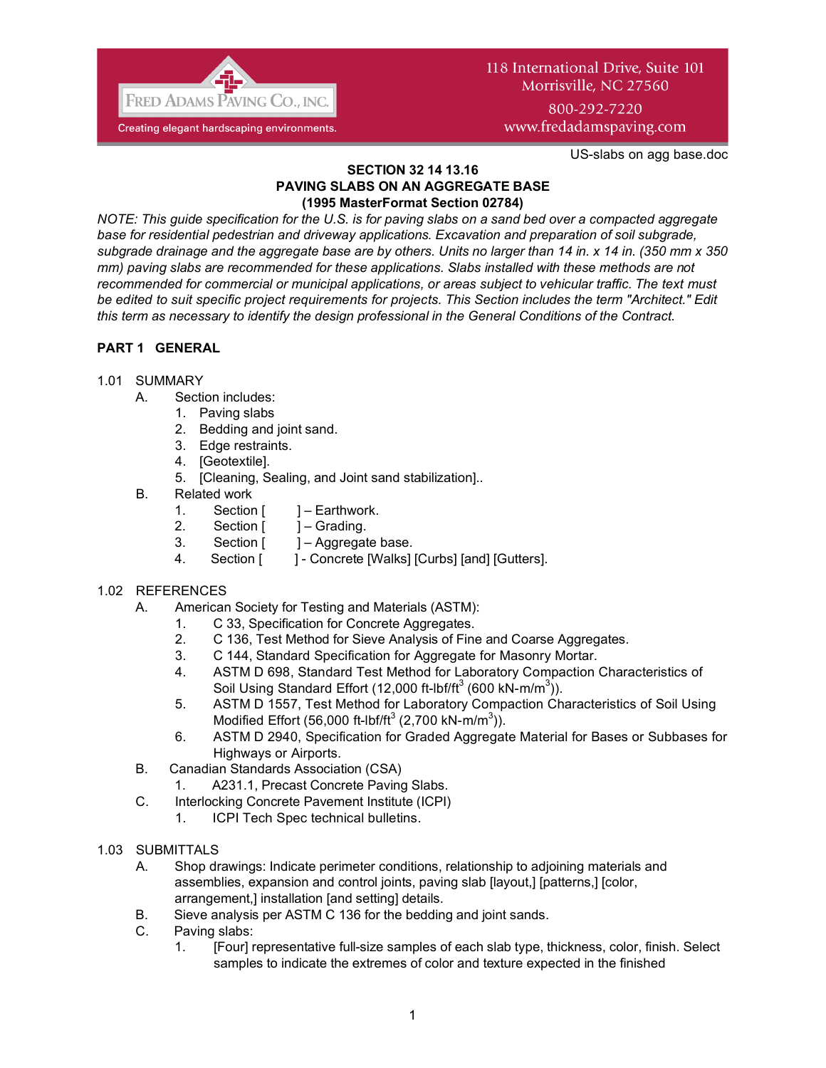

# 118 International Drive, Suite 101 Morrisville, NC 27560 800-292-7220

www.fredadamspaving.com

US-slabs on agg base.doc

#### **SECTION 32 14 13.16 PAVING SLABS ON AN AGGREGATE BASE (1995 MasterFormat Section 02784)**

*NOTE: This guide specification for the U.S. is for paving slabs on a sand bed over a compacted aggregate base for residential pedestrian and driveway applications. Excavation and preparation of soil subgrade, subgrade drainage and the aggregate base are by others. Units no larger than 14 in. x 14 in. (350 mm x 350 mm) paving slabs are recommended for these applications. Slabs installed with these methods are not recommended for commercial or municipal applications, or areas subject to vehicular traffic. The text must be edited to suit specific project requirements for projects. This Section includes the term "Architect." Edit this term as necessary to identify the design professional in the General Conditions of the Contract.*

# **PART 1 GENERAL**

## 1.01 SUMMARY

- A. Section includes:
	- 1. Paving slabs
	- 2. Bedding and joint sand.
	- 3. Edge restraints.
	- 4. [Geotextile].
	- 5. [Cleaning, Sealing, and Joint sand stabilization]..
- B. Related work
	- 1. Section [ ] Earthwork.
	- 2. Section [ ] Grading.
	- 3. Section [ ] Aggregate base.
	- 4. Section [ ] Concrete [Walks] [Curbs] [and] [Gutters].

## 1.02 REFERENCES

- A. American Society for Testing and Materials (ASTM):
	- 1. C 33, Specification for Concrete Aggregates.
	- 2. C 136, Test Method for Sieve Analysis of Fine and Coarse Aggregates.
	- 3. C 144, Standard Specification for Aggregate for Masonry Mortar.
	- 4. ASTM D 698, Standard Test Method for Laboratory Compaction Characteristics of Soil Using Standard Effort (12,000 ft-lbf/ft<sup>3</sup> (600 kN-m/m<sup>3</sup>)).
	- 5. ASTM D 1557, Test Method for Laboratory Compaction Characteristics of Soil Using Modified Effort (56,000 ft-lbf/ft<sup>3</sup> (2,700 kN-m/m<sup>3</sup>)).
	- 6. ASTM D 2940, Specification for Graded Aggregate Material for Bases or Subbases for Highways or Airports.
- B. Canadian Standards Association (CSA)
	- 1. A231.1, Precast Concrete Paving Slabs.
- C. Interlocking Concrete Pavement Institute (ICPI)
	- 1. ICPI Tech Spec technical bulletins.
- 1.03 SUBMITTALS
	- A. Shop drawings: Indicate perimeter conditions, relationship to adjoining materials and assemblies, expansion and control joints, paving slab [layout,] [patterns,] [color, arrangement,] installation [and setting] details.
	- B. Sieve analysis per ASTM C 136 for the bedding and joint sands.
	- C. Paving slabs:
		- 1. [Four] representative full-size samples of each slab type, thickness, color, finish. Select samples to indicate the extremes of color and texture expected in the finished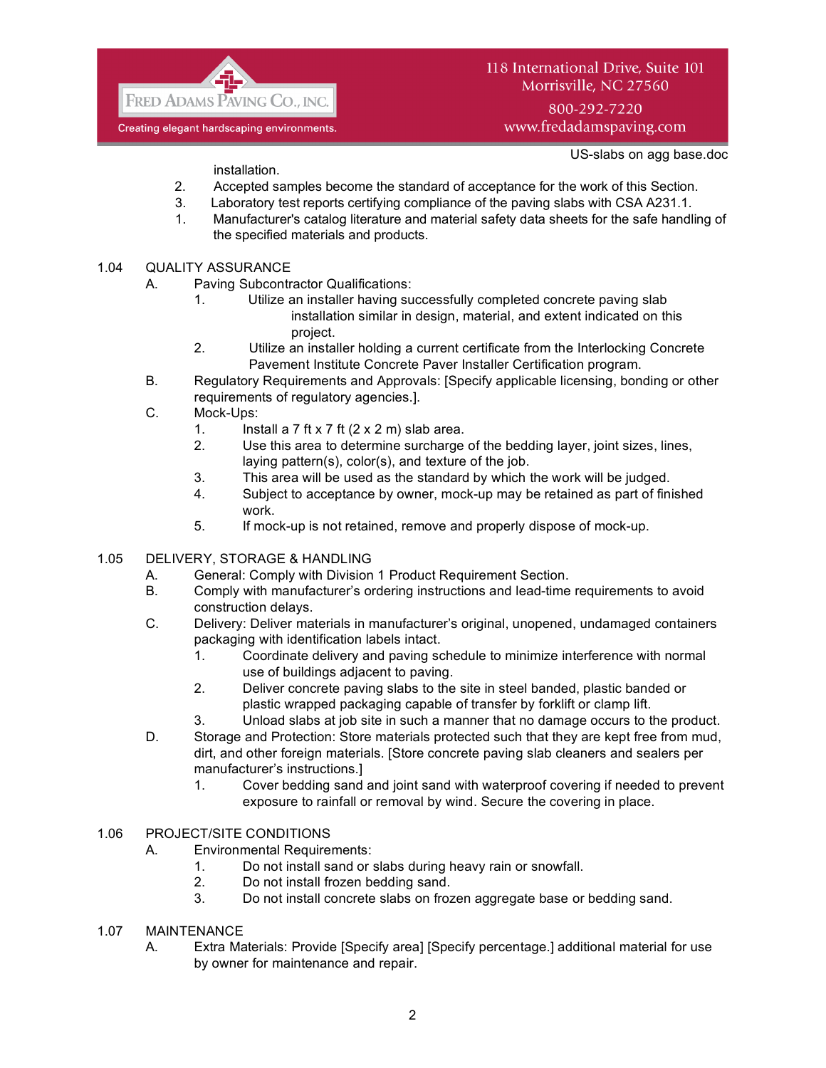

# 118 International Drive, Suite 101 Morrisville, NC 27560

800-292-7220 www.fredadamspaving.com

US-slabs on agg base.doc

installation.

- 2. Accepted samples become the standard of acceptance for the work of this Section.
- 3. Laboratory test reports certifying compliance of the paving slabs with CSA A231.1.
- 1. Manufacturer's catalog literature and material safety data sheets for the safe handling of the specified materials and products.

#### 1.04 QUALITY ASSURANCE

- A. Paving Subcontractor Qualifications:
	- 1. Utilize an installer having successfully completed concrete paving slab installation similar in design, material, and extent indicated on this project.
	- 2. Utilize an installer holding a current certificate from the Interlocking Concrete Pavement Institute Concrete Paver Installer Certification program.
- B. Regulatory Requirements and Approvals: [Specify applicable licensing, bonding or other requirements of regulatory agencies.].
- C. Mock-Ups:
	- 1. Install a 7 ft x 7 ft  $(2 \times 2 \text{ m})$  slab area.
	- 2. Use this area to determine surcharge of the bedding layer, joint sizes, lines, laying pattern(s), color(s), and texture of the job.
	- 3. This area will be used as the standard by which the work will be judged.
	- 4. Subject to acceptance by owner, mock-up may be retained as part of finished work.
	- 5. If mock-up is not retained, remove and properly dispose of mock-up.
- 1.05 DELIVERY, STORAGE & HANDLING
	- A. General: Comply with Division 1 Product Requirement Section.
	- B. Comply with manufacturer's ordering instructions and lead-time requirements to avoid construction delays.
	- C. Delivery: Deliver materials in manufacturer's original, unopened, undamaged containers packaging with identification labels intact.
		- 1. Coordinate delivery and paving schedule to minimize interference with normal use of buildings adjacent to paving.
		- 2. Deliver concrete paving slabs to the site in steel banded, plastic banded or plastic wrapped packaging capable of transfer by forklift or clamp lift.
		- 3. Unload slabs at job site in such a manner that no damage occurs to the product.
	- D. Storage and Protection: Store materials protected such that they are kept free from mud, dirt, and other foreign materials. [Store concrete paving slab cleaners and sealers per manufacturer's instructions.]
		- 1. Cover bedding sand and joint sand with waterproof covering if needed to prevent exposure to rainfall or removal by wind. Secure the covering in place.

#### 1.06 PROJECT/SITE CONDITIONS

- A. Environmental Requirements:
	- 1. Do not install sand or slabs during heavy rain or snowfall.
	- 2. Do not install frozen bedding sand.
	- 3. Do not install concrete slabs on frozen aggregate base or bedding sand.
- 1.07 MAINTENANCE
	- A. Extra Materials: Provide [Specify area] [Specify percentage.] additional material for use by owner for maintenance and repair.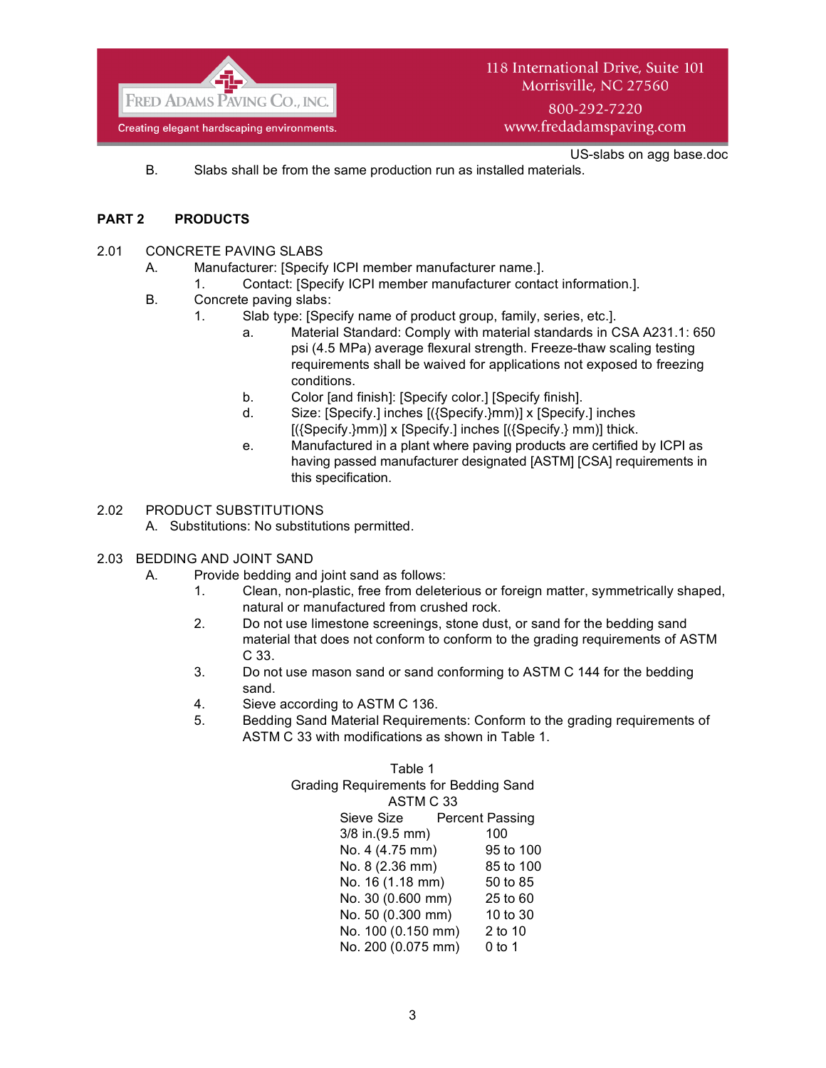

www.fredadamspaving.com

US-slabs on agg base.doc

B. Slabs shall be from the same production run as installed materials.

## **PART 2 PRODUCTS**

- 2.01 CONCRETE PAVING SLABS
	- A. Manufacturer: [Specify ICPI member manufacturer name.].
		- 1. Contact: [Specify ICPI member manufacturer contact information.].
	- B. Concrete paving slabs:
		- 1. Slab type: [Specify name of product group, family, series, etc.].
			- a. Material Standard: Comply with material standards in CSA A231.1: 650 psi (4.5 MPa) average flexural strength. Freeze-thaw scaling testing requirements shall be waived for applications not exposed to freezing conditions.
			- b. Color [and finish]: [Specify color.] [Specify finish].
			- d. Size: [Specify.] inches [({Specify.}mm)] x [Specify.] inches [({Specify.}mm)] x [Specify.] inches [({Specify.} mm)] thick.
			- e. Manufactured in a plant where paving products are certified by ICPI as having passed manufacturer designated [ASTM] [CSA] requirements in this specification.

#### 2.02 PRODUCT SUBSTITUTIONS

- A. Substitutions: No substitutions permitted.
- 2.03 BEDDING AND JOINT SAND
	- A. Provide bedding and joint sand as follows:
		- 1. Clean, non-plastic, free from deleterious or foreign matter, symmetrically shaped, natural or manufactured from crushed rock.
		- 2. Do not use limestone screenings, stone dust, or sand for the bedding sand material that does not conform to conform to the grading requirements of ASTM C 33.
		- 3. Do not use mason sand or sand conforming to ASTM C 144 for the bedding sand.
		- 4. Sieve according to ASTM C 136.
		- 5. Bedding Sand Material Requirements: Conform to the grading requirements of ASTM C 33 with modifications as shown in Table 1.

| Table 1                               |                        |  |  |
|---------------------------------------|------------------------|--|--|
| Grading Requirements for Bedding Sand |                        |  |  |
| ASTM C 33                             |                        |  |  |
| Sieve Size                            | <b>Percent Passing</b> |  |  |
| 3/8 in.(9.5 mm)                       | 100                    |  |  |
| No. 4 (4.75 mm)                       | 95 to 100              |  |  |
| No. 8 (2.36 mm)                       | 85 to 100              |  |  |
| No. 16 (1.18 mm)                      | 50 to 85               |  |  |
| No. 30 (0.600 mm)                     | 25 to 60               |  |  |
| No. 50 (0.300 mm)                     | 10 to 30               |  |  |
| No. 100 (0.150 mm)                    | 2 to 10                |  |  |
| No. 200 (0.075 mm)                    | 0 to 1                 |  |  |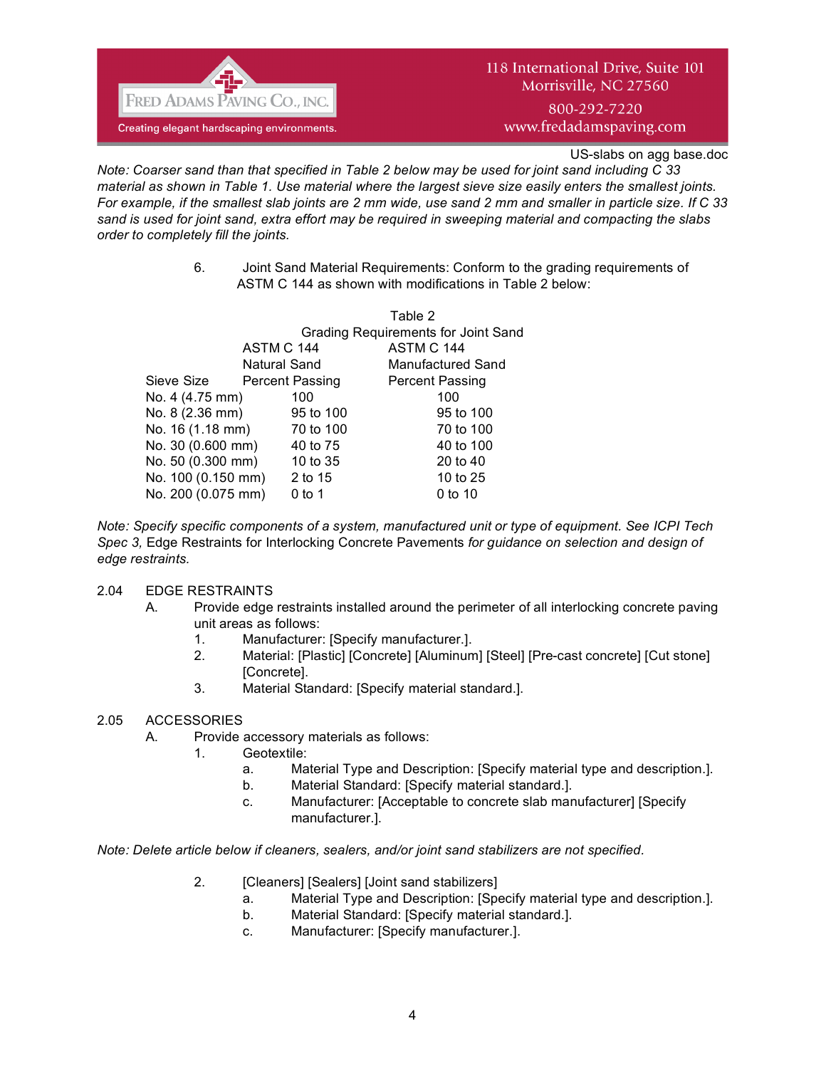

www.fredadamspaving.com

US-slabs on agg base.doc

*Note: Coarser sand than that specified in Table 2 below may be used for joint sand including C 33 material as shown in Table 1. Use material where the largest sieve size easily enters the smallest joints. For example, if the smallest slab joints are 2 mm wide, use sand 2 mm and smaller in particle size. If C 33 sand is used for joint sand, extra effort may be required in sweeping material and compacting the slabs order to completely fill the joints.*

> 6. Joint Sand Material Requirements: Conform to the grading requirements of ASTM C 144 as shown with modifications in Table 2 below:

|                    |  |                                     | Table 2                |  |
|--------------------|--|-------------------------------------|------------------------|--|
|                    |  | Grading Requirements for Joint Sand |                        |  |
| ASTM C 144         |  |                                     | ASTM C 144             |  |
|                    |  | Natural Sand                        | Manufactured Sand      |  |
| Sieve Size         |  | Percent Passing                     | <b>Percent Passing</b> |  |
| No. 4 (4.75 mm)    |  | 100                                 | 100                    |  |
| No. 8 (2.36 mm)    |  | 95 to 100                           | 95 to 100              |  |
| No. 16 (1.18 mm)   |  | 70 to 100                           | 70 to 100              |  |
| No. 30 (0.600 mm)  |  | 40 to 75                            | 40 to 100              |  |
| No. 50 (0.300 mm)  |  | 10 to 35                            | 20 to 40               |  |
| No. 100 (0.150 mm) |  | 2 to 15                             | 10 to 25               |  |
| No. 200 (0.075 mm) |  | 0 to 1                              | 0 to 10                |  |
|                    |  |                                     |                        |  |

*Note: Specify specific components of a system, manufactured unit or type of equipment. See ICPI Tech Spec 3,* Edge Restraints for Interlocking Concrete Pavements *for guidance on selection and design of edge restraints.*

## 2.04 EDGE RESTRAINTS

- A. Provide edge restraints installed around the perimeter of all interlocking concrete paving unit areas as follows:
	- 1. Manufacturer: [Specify manufacturer.].
	- 2. Material: [Plastic] [Concrete] [Aluminum] [Steel] [Pre-cast concrete] [Cut stone] [Concrete].
	- 3. Material Standard: [Specify material standard.].

# 2.05 ACCESSORIES

- A. Provide accessory materials as follows:
	- 1. Geotextile:
		- a. Material Type and Description: [Specify material type and description.].
		- b. Material Standard: [Specify material standard.].
		- c. Manufacturer: [Acceptable to concrete slab manufacturer] [Specify manufacturer.].

*Note: Delete article below if cleaners, sealers, and/or joint sand stabilizers are not specified.*

- 2. **[Cleaners] [Sealers] [Joint sand stabilizers]** 
	- a. Material Type and Description: [Specify material type and description.].
	- b. Material Standard: [Specify material standard.].
	- c. Manufacturer: [Specify manufacturer.].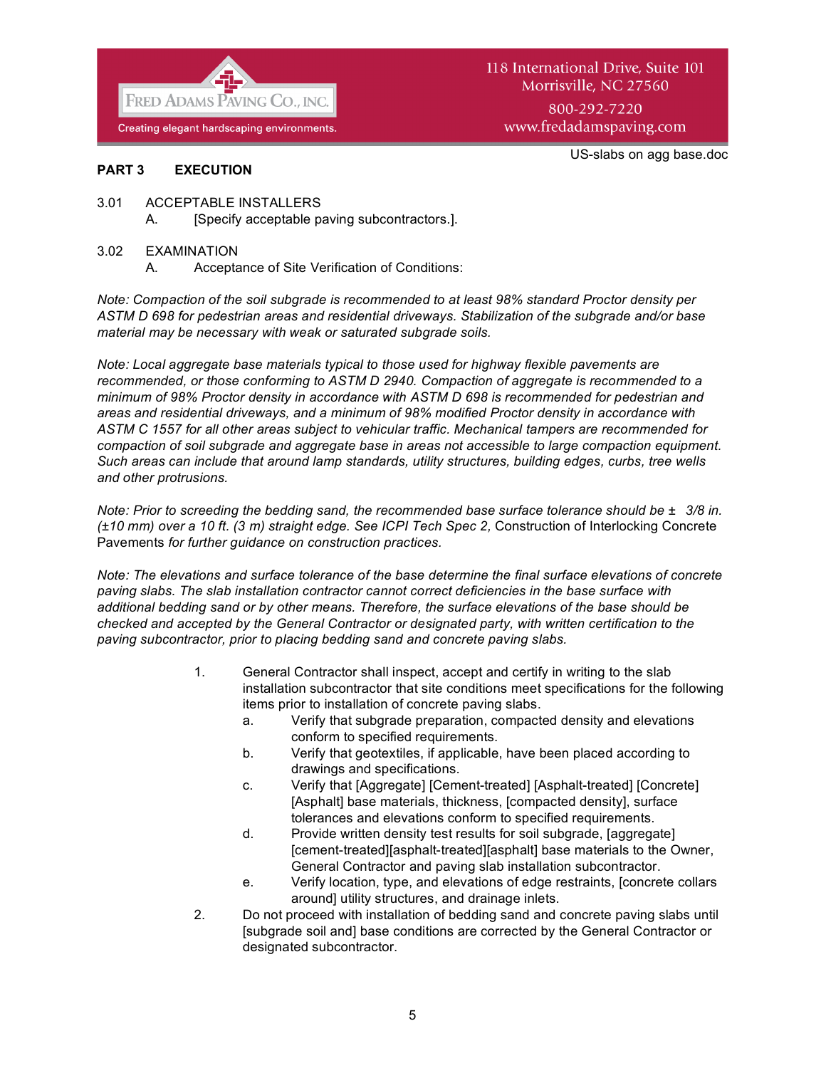

#### US-slabs on agg base.doc

#### **PART 3 EXECUTION**

- 3.01 ACCEPTABLE INSTALLERS
	- A. [Specify acceptable paving subcontractors.].

#### 3.02 EXAMINATION

A. Acceptance of Site Verification of Conditions:

*Note: Compaction of the soil subgrade is recommended to at least 98% standard Proctor density per ASTM D 698 for pedestrian areas and residential driveways. Stabilization of the subgrade and/or base material may be necessary with weak or saturated subgrade soils.*

*Note: Local aggregate base materials typical to those used for highway flexible pavements are recommended, or those conforming to ASTM D 2940. Compaction of aggregate is recommended to a minimum of 98% Proctor density in accordance with ASTM D 698 is recommended for pedestrian and areas and residential driveways, and a minimum of 98% modified Proctor density in accordance with ASTM C 1557 for all other areas subject to vehicular traffic. Mechanical tampers are recommended for compaction of soil subgrade and aggregate base in areas not accessible to large compaction equipment. Such areas can include that around lamp standards, utility structures, building edges, curbs, tree wells and other protrusions.* 

*Note: Prior to screeding the bedding sand, the recommended base surface tolerance should be ±3/8 in. (±10 mm) over a 10 ft. (3 m) straight edge. See ICPI Tech Spec 2,* Construction of Interlocking Concrete Pavements *for further guidance on construction practices.*

*Note: The elevations and surface tolerance of the base determine the final surface elevations of concrete paving slabs. The slab installation contractor cannot correct deficiencies in the base surface with additional bedding sand or by other means. Therefore, the surface elevations of the base should be checked and accepted by the General Contractor or designated party, with written certification to the paving subcontractor, prior to placing bedding sand and concrete paving slabs.*

- 1. General Contractor shall inspect, accept and certify in writing to the slab installation subcontractor that site conditions meet specifications for the following items prior to installation of concrete paving slabs.
	- a. Verify that subgrade preparation, compacted density and elevations conform to specified requirements.
	- b. Verify that geotextiles, if applicable, have been placed according to drawings and specifications.
	- c. Verify that [Aggregate] [Cement-treated] [Asphalt-treated] [Concrete] [Asphalt] base materials, thickness, [compacted density], surface tolerances and elevations conform to specified requirements.
	- d. Provide written density test results for soil subgrade, [aggregate] [cement-treated][asphalt-treated][asphalt] base materials to the Owner, General Contractor and paving slab installation subcontractor.
	- e. Verify location, type, and elevations of edge restraints, [concrete collars around] utility structures, and drainage inlets.
- 2. Do not proceed with installation of bedding sand and concrete paving slabs until [subgrade soil and] base conditions are corrected by the General Contractor or designated subcontractor.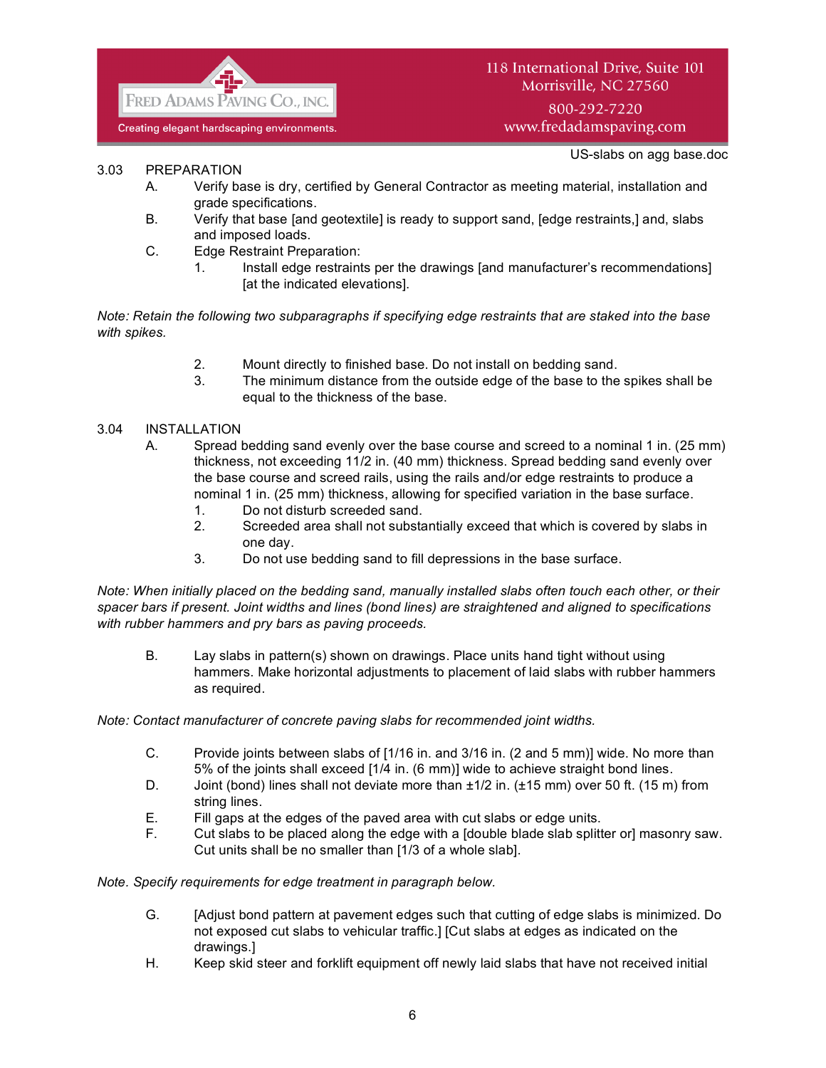

US-slabs on agg base.doc

## 3.03 PREPARATION

- A. Verify base is dry, certified by General Contractor as meeting material, installation and grade specifications.
- B. Verify that base [and geotextile] is ready to support sand, [edge restraints,] and, slabs and imposed loads.
- C. Edge Restraint Preparation:
	- 1. Install edge restraints per the drawings [and manufacturer's recommendations] [at the indicated elevations].

*Note: Retain the following two subparagraphs if specifying edge restraints that are staked into the base with spikes.* 

- 2. Mount directly to finished base. Do not install on bedding sand.
- 3. The minimum distance from the outside edge of the base to the spikes shall be equal to the thickness of the base.

## 3.04 INSTALLATION

- A. Spread bedding sand evenly over the base course and screed to a nominal 1 in. (25 mm) thickness, not exceeding 11/2 in. (40 mm) thickness. Spread bedding sand evenly over the base course and screed rails, using the rails and/or edge restraints to produce a nominal 1 in. (25 mm) thickness, allowing for specified variation in the base surface.
	- 1. Do not disturb screeded sand.
	- 2. Screeded area shall not substantially exceed that which is covered by slabs in one day.
	- 3. Do not use bedding sand to fill depressions in the base surface.

*Note: When initially placed on the bedding sand, manually installed slabs often touch each other, or their spacer bars if present. Joint widths and lines (bond lines) are straightened and aligned to specifications with rubber hammers and pry bars as paving proceeds.*

B. Lay slabs in pattern(s) shown on drawings. Place units hand tight without using hammers. Make horizontal adjustments to placement of laid slabs with rubber hammers as required.

*Note: Contact manufacturer of concrete paving slabs for recommended joint widths.*

- C. Provide joints between slabs of [1/16 in. and 3/16 in. (2 and 5 mm)] wide. No more than 5% of the joints shall exceed [1/4 in. (6 mm)] wide to achieve straight bond lines.
- D. Joint (bond) lines shall not deviate more than  $\pm 1/2$  in. ( $\pm 15$  mm) over 50 ft. (15 m) from string lines.
- E. Fill gaps at the edges of the paved area with cut slabs or edge units.
- F. Cut slabs to be placed along the edge with a [double blade slab splitter or] masonry saw. Cut units shall be no smaller than [1/3 of a whole slab].

*Note. Specify requirements for edge treatment in paragraph below.*

- G. [Adjust bond pattern at pavement edges such that cutting of edge slabs is minimized. Do not exposed cut slabs to vehicular traffic.] [Cut slabs at edges as indicated on the drawings.]
- H. Keep skid steer and forklift equipment off newly laid slabs that have not received initial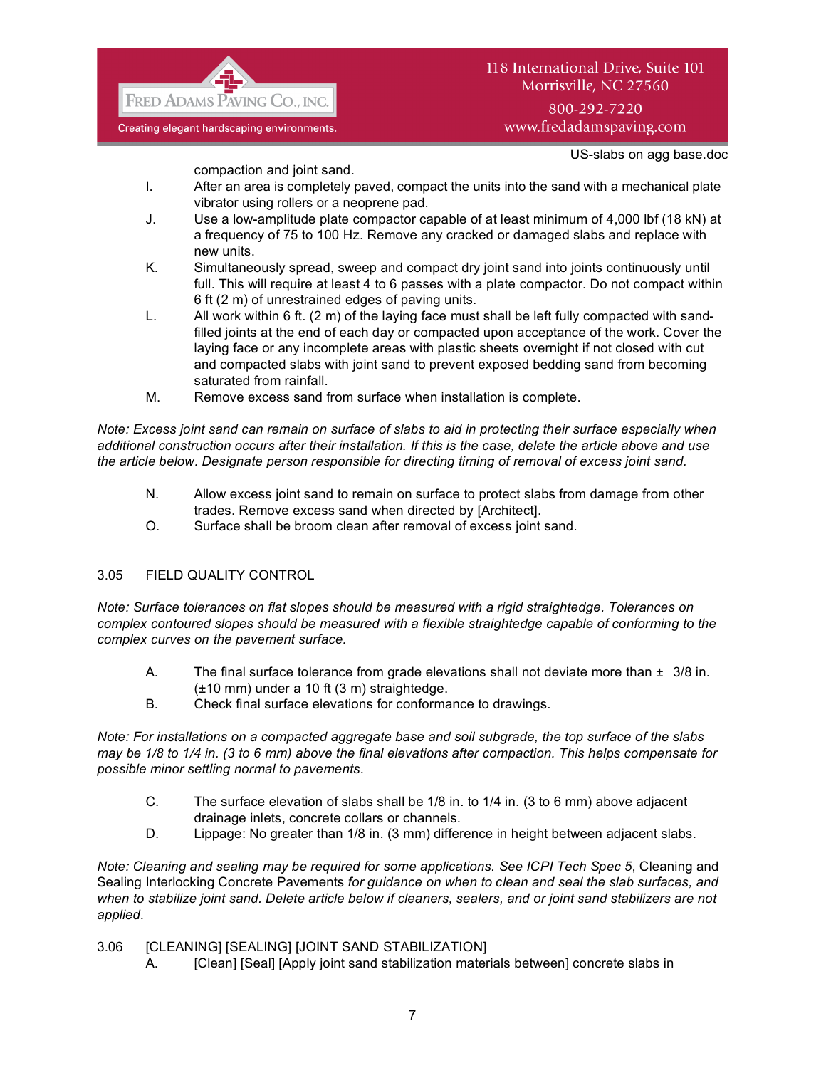

# 118 International Drive, Suite 101 Morrisville, NC 27560 800-292-7220

www.fredadamspaving.com

US-slabs on agg base.doc

compaction and joint sand.

- I. After an area is completely paved, compact the units into the sand with a mechanical plate vibrator using rollers or a neoprene pad.
- J. Use a low-amplitude plate compactor capable of at least minimum of 4,000 lbf (18 kN) at a frequency of 75 to 100 Hz. Remove any cracked or damaged slabs and replace with new units.
- K. Simultaneously spread, sweep and compact dry joint sand into joints continuously until full. This will require at least 4 to 6 passes with a plate compactor. Do not compact within 6 ft (2 m) of unrestrained edges of paving units.
- L. All work within 6 ft. (2 m) of the laying face must shall be left fully compacted with sandfilled joints at the end of each day or compacted upon acceptance of the work. Cover the laying face or any incomplete areas with plastic sheets overnight if not closed with cut and compacted slabs with joint sand to prevent exposed bedding sand from becoming saturated from rainfall.
- M. Remove excess sand from surface when installation is complete.

*Note: Excess joint sand can remain on surface of slabs to aid in protecting their surface especially when additional construction occurs after their installation. If this is the case, delete the article above and use the article below. Designate person responsible for directing timing of removal of excess joint sand.*

- N. Allow excess joint sand to remain on surface to protect slabs from damage from other trades. Remove excess sand when directed by [Architect].
- O. Surface shall be broom clean after removal of excess joint sand.

# 3.05 FIELD QUALITY CONTROL

*Note: Surface tolerances on flat slopes should be measured with a rigid straightedge. Tolerances on complex contoured slopes should be measured with a flexible straightedge capable of conforming to the complex curves on the pavement surface.*

- A. The final surface tolerance from grade elevations shall not deviate more than  $\pm 3/8$  in. (±10 mm) under a 10 ft (3 m) straightedge.
- B. Check final surface elevations for conformance to drawings.

*Note: For installations on a compacted aggregate base and soil subgrade, the top surface of the slabs may be 1/8 to 1/4 in. (3 to 6 mm) above the final elevations after compaction. This helps compensate for possible minor settling normal to pavements.*

- C. The surface elevation of slabs shall be 1/8 in. to 1/4 in. (3 to 6 mm) above adjacent drainage inlets, concrete collars or channels.
- D. Lippage: No greater than 1/8 in. (3 mm) difference in height between adjacent slabs.

*Note: Cleaning and sealing may be required for some applications. See ICPI Tech Spec 5*, Cleaning and Sealing Interlocking Concrete Pavements *for guidance on when to clean and seal the slab surfaces, and when to stabilize joint sand. Delete article below if cleaners, sealers, and or joint sand stabilizers are not applied.*

3.06 [CLEANING] [SEALING] [JOINT SAND STABILIZATION]

A. [Clean] [Seal] [Apply joint sand stabilization materials between] concrete slabs in